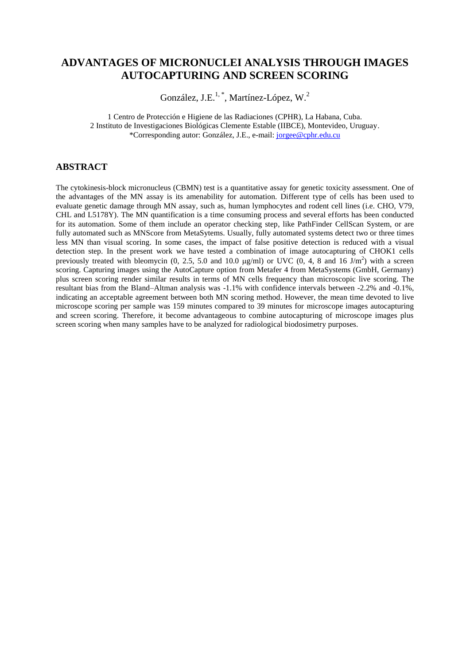# **ADVANTAGES OF MICRONUCLEI ANALYSIS THROUGH IMAGES AUTOCAPTURING AND SCREEN SCORING**

González, J.E. $^{1, *}$ , Martínez-López, W.<sup>2</sup>

1 Centro de Protección e Higiene de las Radiaciones (CPHR), La Habana, Cuba. 2 Instituto de Investigaciones Biológicas Clemente Estable (IIBCE), Montevideo, Uruguay. \*Corresponding autor: González, J.E., e-mail: [jorgee@cphr.edu.cu](mailto:jorgee@cphr.edu.cu)

#### **ABSTRACT**

The cytokinesis-block micronucleus (CBMN) test is a quantitative assay for genetic toxicity assessment. One of the advantages of the MN assay is its amenability for automation. Different type of cells has been used to evaluate genetic damage through MN assay, such as, human lymphocytes and rodent cell lines (i.e. CHO, V79, CHL and L5178Y). The MN quantification is a time consuming process and several efforts has been conducted for its automation. Some of them include an operator checking step, like PathFinder CellScan System, or are fully automated such as MNScore from MetaSytems. Usually, fully automated systems detect two or three times less MN than visual scoring. In some cases, the impact of false positive detection is reduced with a visual detection step. In the present work we have tested a combination of image autocapturing of CHOK1 cells previously treated with bleomycin (0, 2.5, 5.0 and 10.0  $\mu$ g/ml) or UVC (0, 4, 8 and 16 J/m<sup>2</sup>) with a screen scoring. Capturing images using the AutoCapture option from Metafer 4 from MetaSystems (GmbH, Germany) plus screen scoring render similar results in terms of MN cells frequency than microscopic live scoring. The resultant bias from the Bland–Altman analysis was -1.1% with confidence intervals between -2.2% and -0.1%, indicating an acceptable agreement between both MN scoring method. However, the mean time devoted to live microscope scoring per sample was 159 minutes compared to 39 minutes for microscope images autocapturing and screen scoring. Therefore, it become advantageous to combine autocapturing of microscope images plus screen scoring when many samples have to be analyzed for radiological biodosimetry purposes.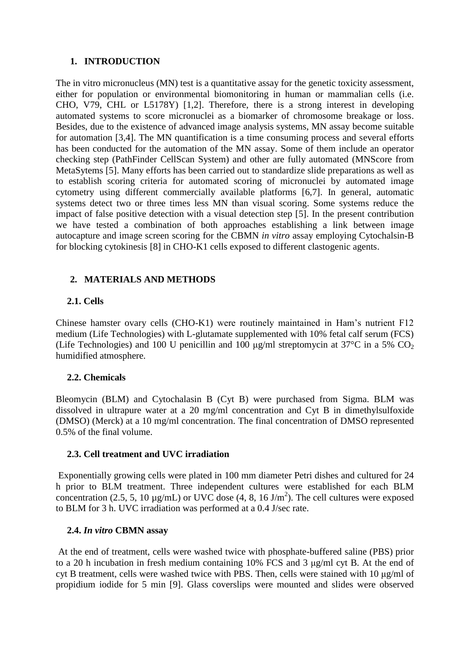### **1. INTRODUCTION**

The in vitro micronucleus (MN) test is a quantitative assay for the genetic toxicity assessment, either for population or environmental biomonitoring in human or mammalian cells (i.e. CHO, V79, CHL or L5178Y) [1,2]. Therefore, there is a strong interest in developing automated systems to score micronuclei as a biomarker of chromosome breakage or loss. Besides, due to the existence of advanced image analysis systems, MN assay become suitable for automation [3,4]. The MN quantification is a time consuming process and several efforts has been conducted for the automation of the MN assay. Some of them include an operator checking step (PathFinder CellScan System) and other are fully automated (MNScore from MetaSytems [5]. Many efforts has been carried out to standardize slide preparations as well as to establish scoring criteria for automated scoring of micronuclei by automated image cytometry using different commercially available platforms [6,7]. In general, automatic systems detect two or three times less MN than visual scoring. Some systems reduce the impact of false positive detection with a visual detection step [5]. In the present contribution we have tested a combination of both approaches establishing a link between image autocapture and image screen scoring for the CBMN *in vitro* assay employing Cytochalsin-B for blocking cytokinesis [8] in CHO-K1 cells exposed to different clastogenic agents.

## **2. MATERIALS AND METHODS**

## **2.1. Cells**

Chinese hamster ovary cells (CHO-K1) were routinely maintained in Ham's nutrient F12 medium (Life Technologies) with L-glutamate supplemented with 10% fetal calf serum (FCS) (Life Technologies) and 100 U penicillin and 100  $\mu$ g/ml streptomycin at 37°C in a 5% CO<sub>2</sub> humidified atmosphere.

## **2.2. Chemicals**

Bleomycin (BLM) and Cytochalasin B (Cyt B) were purchased from Sigma. BLM was dissolved in ultrapure water at a 20 mg/ml concentration and Cyt B in dimethylsulfoxide (DMSO) (Merck) at a 10 mg/ml concentration. The final concentration of DMSO represented 0.5% of the final volume.

### **2.3. Cell treatment and UVC irradiation**

Exponentially growing cells were plated in 100 mm diameter Petri dishes and cultured for 24 h prior to BLM treatment. Three independent cultures were established for each BLM concentration (2.5, 5, 10  $\mu$ g/mL) or UVC dose (4, 8, 16 J/m<sup>2</sup>). The cell cultures were exposed to BLM for 3 h. UVC irradiation was performed at a 0.4 J/sec rate.

### **2.4.** *In vitro* **CBMN assay**

At the end of treatment, cells were washed twice with phosphate-buffered saline (PBS) prior to a 20 h incubation in fresh medium containing 10% FCS and 3 μg/ml cyt B. At the end of cyt B treatment, cells were washed twice with PBS. Then, cells were stained with 10 μg/ml of propidium iodide for 5 min [9]. Glass coverslips were mounted and slides were observed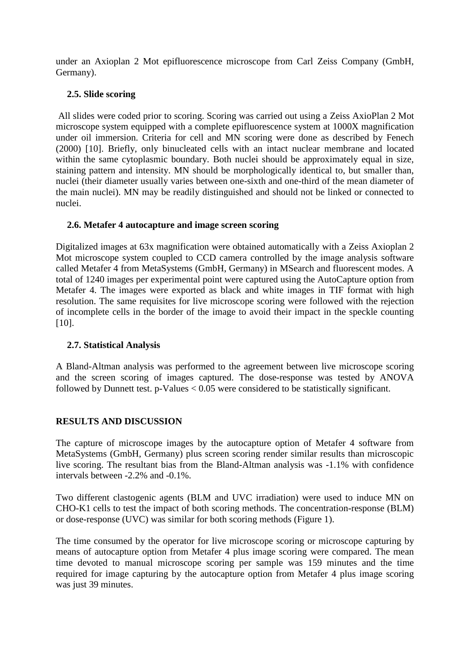under an Axioplan 2 Mot epifluorescence microscope from Carl Zeiss Company (GmbH, Germany).

### **2.5. Slide scoring**

All slides were coded prior to scoring. Scoring was carried out using a Zeiss AxioPlan 2 Mot microscope system equipped with a complete epifluorescence system at 1000X magnification under oil immersion. Criteria for cell and MN scoring were done as described by Fenech (2000) [10]. Briefly, only binucleated cells with an intact nuclear membrane and located within the same cytoplasmic boundary. Both nuclei should be approximately equal in size, staining pattern and intensity. MN should be morphologically identical to, but smaller than, nuclei (their diameter usually varies between one-sixth and one-third of the mean diameter of the main nuclei). MN may be readily distinguished and should not be linked or connected to nuclei.

### **2.6. Metafer 4 autocapture and image screen scoring**

Digitalized images at 63x magnification were obtained automatically with a Zeiss Axioplan 2 Mot microscope system coupled to CCD camera controlled by the image analysis software called Metafer 4 from MetaSystems (GmbH, Germany) in MSearch and fluorescent modes. A total of 1240 images per experimental point were captured using the AutoCapture option from Metafer 4. The images were exported as black and white images in TIF format with high resolution. The same requisites for live microscope scoring were followed with the rejection of incomplete cells in the border of the image to avoid their impact in the speckle counting [10].

### **2.7. Statistical Analysis**

A Bland-Altman analysis was performed to the agreement between live microscope scoring and the screen scoring of images captured. The dose-response was tested by ANOVA followed by Dunnett test.  $p$ -Values  $< 0.05$  were considered to be statistically significant.

## **RESULTS AND DISCUSSION**

The capture of microscope images by the autocapture option of Metafer 4 software from MetaSystems (GmbH, Germany) plus screen scoring render similar results than microscopic live scoring. The resultant bias from the Bland-Altman analysis was -1.1% with confidence intervals between -2.2% and -0.1%.

Two different clastogenic agents (BLM and UVC irradiation) were used to induce MN on CHO-K1 cells to test the impact of both scoring methods. The concentration-response (BLM) or dose-response (UVC) was similar for both scoring methods (Figure 1).

The time consumed by the operator for live microscope scoring or microscope capturing by means of autocapture option from Metafer 4 plus image scoring were compared. The mean time devoted to manual microscope scoring per sample was 159 minutes and the time required for image capturing by the autocapture option from Metafer 4 plus image scoring was just 39 minutes.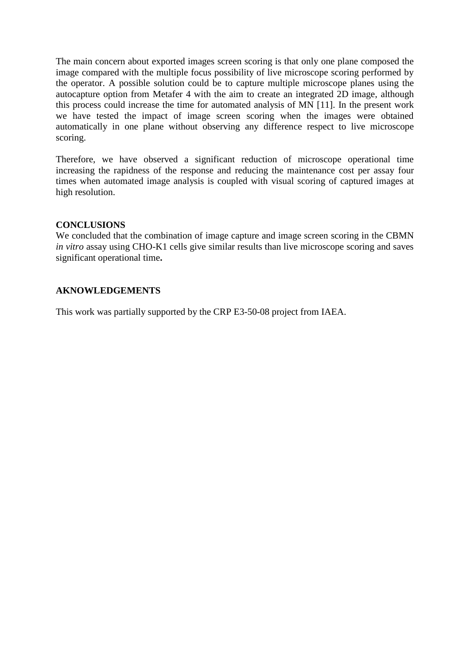The main concern about exported images screen scoring is that only one plane composed the image compared with the multiple focus possibility of live microscope scoring performed by the operator. A possible solution could be to capture multiple microscope planes using the autocapture option from Metafer 4 with the aim to create an integrated 2D image, although this process could increase the time for automated analysis of MN [11]. In the present work we have tested the impact of image screen scoring when the images were obtained automatically in one plane without observing any difference respect to live microscope scoring.

Therefore, we have observed a significant reduction of microscope operational time increasing the rapidness of the response and reducing the maintenance cost per assay four times when automated image analysis is coupled with visual scoring of captured images at high resolution.

### **CONCLUSIONS**

We concluded that the combination of image capture and image screen scoring in the CBMN *in vitro* assay using CHO-K1 cells give similar results than live microscope scoring and saves significant operational time**.**

### **AKNOWLEDGEMENTS**

This work was partially supported by the CRP E3-50-08 project from IAEA.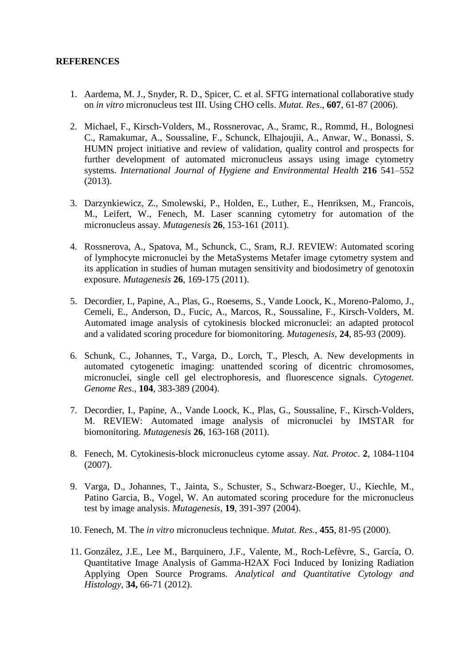### **REFERENCES**

- 1. Aardema, M. J., Snyder, R. D., Spicer, C. et al. SFTG international collaborative study on *in vitro* micronucleus test III. Using CHO cells. *Mutat. Res*., **607**, 61-87 (2006).
- 2. Michael, F., Kirsch-Volders, M., Rossnerovac, A., Sramc, R., Rommd, H., Bolognesi C., Ramakumar, A., Soussaline, F., Schunck, Elhajoujii, A., Anwar, W., Bonassi, S. HUMN project initiative and review of validation, quality control and prospects for further development of automated micronucleus assays using image cytometry systems. *International Journal of Hygiene and Environmental Health* **216** 541–552 (2013).
- 3. Darzynkiewicz, Z., Smolewski, P., Holden, E., Luther, E., Henriksen, M., Francois, M., Leifert, W., Fenech, M. Laser scanning cytometry for automation of the micronucleus assay. *Mutagenesis* **26**, 153-161 (2011).
- 4. Rossnerova, A., Spatova, M., Schunck, C., Sram, R.J. REVIEW: Automated scoring of lymphocyte micronuclei by the MetaSystems Metafer image cytometry system and its application in studies of human mutagen sensitivity and biodosimetry of genotoxin exposure. *Mutagenesis* **26**, 169-175 (2011).
- 5. Decordier, I., Papine, A., Plas, G., Roesems, S., Vande Loock, K., Moreno-Palomo, J., Cemeli, E., Anderson, D., Fucic, A., Marcos, R., Soussaline, F., Kirsch-Volders, M. Automated image analysis of cytokinesis blocked micronuclei: an adapted protocol and a validated scoring procedure for biomonitoring. *Mutagenesis*, **24**, 85-93 (2009).
- 6. Schunk, C., Johannes, T., Varga, D., Lorch, T., Plesch, A. New developments in automated cytogenetic imaging: unattended scoring of dicentric chromosomes, micronuclei, single cell gel electrophoresis, and fluorescence signals. *Cytogenet. Genome Res*., **104**, 383-389 (2004).
- 7. Decordier, I., Papine, A., Vande Loock, K., Plas, G., Soussaline, F., Kirsch-Volders, M. REVIEW: Automated image analysis of micronuclei by IMSTAR for biomonitoring. *Mutagenesis* **26**, 163-168 (2011).
- 8. Fenech, M. Cytokinesis-block micronucleus cytome assay. *Nat. Protoc*. **2**, 1084-1104 (2007).
- 9. Varga, D., Johannes, T., Jainta, S., Schuster, S., Schwarz-Boeger, U., Kiechle, M., Patino Garcia, B., Vogel, W. An automated scoring procedure for the micronucleus test by image analysis. *Mutagenesis*, **19**, 391-397 (2004).
- 10. Fenech, M. The *in vitro* micronucleus technique. *Mutat. Res.*, **455**, 81-95 (2000).
- 11. González, J.E., Lee M., Barquinero, J.F., Valente, M., Roch-Lefèvre, S., García, O. Quantitative Image Analysis of Gamma-H2AX Foci Induced by Ionizing Radiation Applying Open Source Programs. *Analytical and Quantitative Cytology and Histology*, **34,** 66-71 (2012).